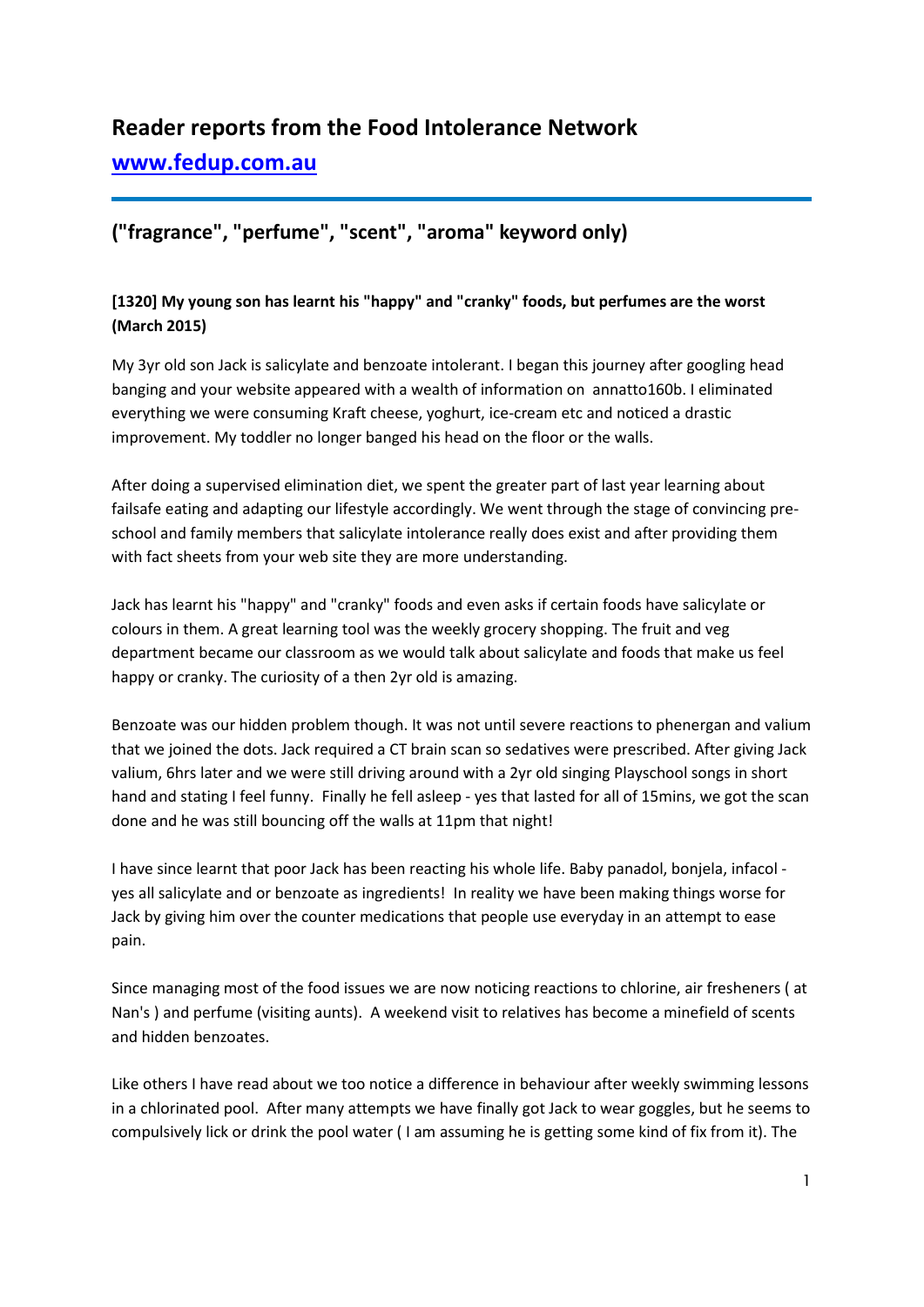# **Reader reports from the Food Intolerance Network**

# **[www.fedup.com.au](http://www.fedup.com.au/)**

# **("fragrance", "perfume", "scent", "aroma" keyword only)**

# **[1320] My young son has learnt his "happy" and "cranky" foods, but perfumes are the worst (March 2015)**

My 3yr old son Jack is salicylate and benzoate intolerant. I began this journey after googling head banging and your website appeared with a wealth of information on annatto160b. I eliminated everything we were consuming Kraft cheese, yoghurt, ice-cream etc and noticed a drastic improvement. My toddler no longer banged his head on the floor or the walls.

After doing a supervised elimination diet, we spent the greater part of last year learning about failsafe eating and adapting our lifestyle accordingly. We went through the stage of convincing preschool and family members that salicylate intolerance really does exist and after providing them with fact sheets from your web site they are more understanding.

Jack has learnt his "happy" and "cranky" foods and even asks if certain foods have salicylate or colours in them. A great learning tool was the weekly grocery shopping. The fruit and veg department became our classroom as we would talk about salicylate and foods that make us feel happy or cranky. The curiosity of a then 2yr old is amazing.

Benzoate was our hidden problem though. It was not until severe reactions to phenergan and valium that we joined the dots. Jack required a CT brain scan so sedatives were prescribed. After giving Jack valium, 6hrs later and we were still driving around with a 2yr old singing Playschool songs in short hand and stating I feel funny. Finally he fell asleep - yes that lasted for all of 15mins, we got the scan done and he was still bouncing off the walls at 11pm that night!

I have since learnt that poor Jack has been reacting his whole life. Baby panadol, bonjela, infacol yes all salicylate and or benzoate as ingredients! In reality we have been making things worse for Jack by giving him over the counter medications that people use everyday in an attempt to ease pain.

Since managing most of the food issues we are now noticing reactions to chlorine, air fresheners ( at Nan's ) and perfume (visiting aunts). A weekend visit to relatives has become a minefield of scents and hidden benzoates.

Like others I have read about we too notice a difference in behaviour after weekly swimming lessons in a chlorinated pool. After many attempts we have finally got Jack to wear goggles, but he seems to compulsively lick or drink the pool water ( I am assuming he is getting some kind of fix from it). The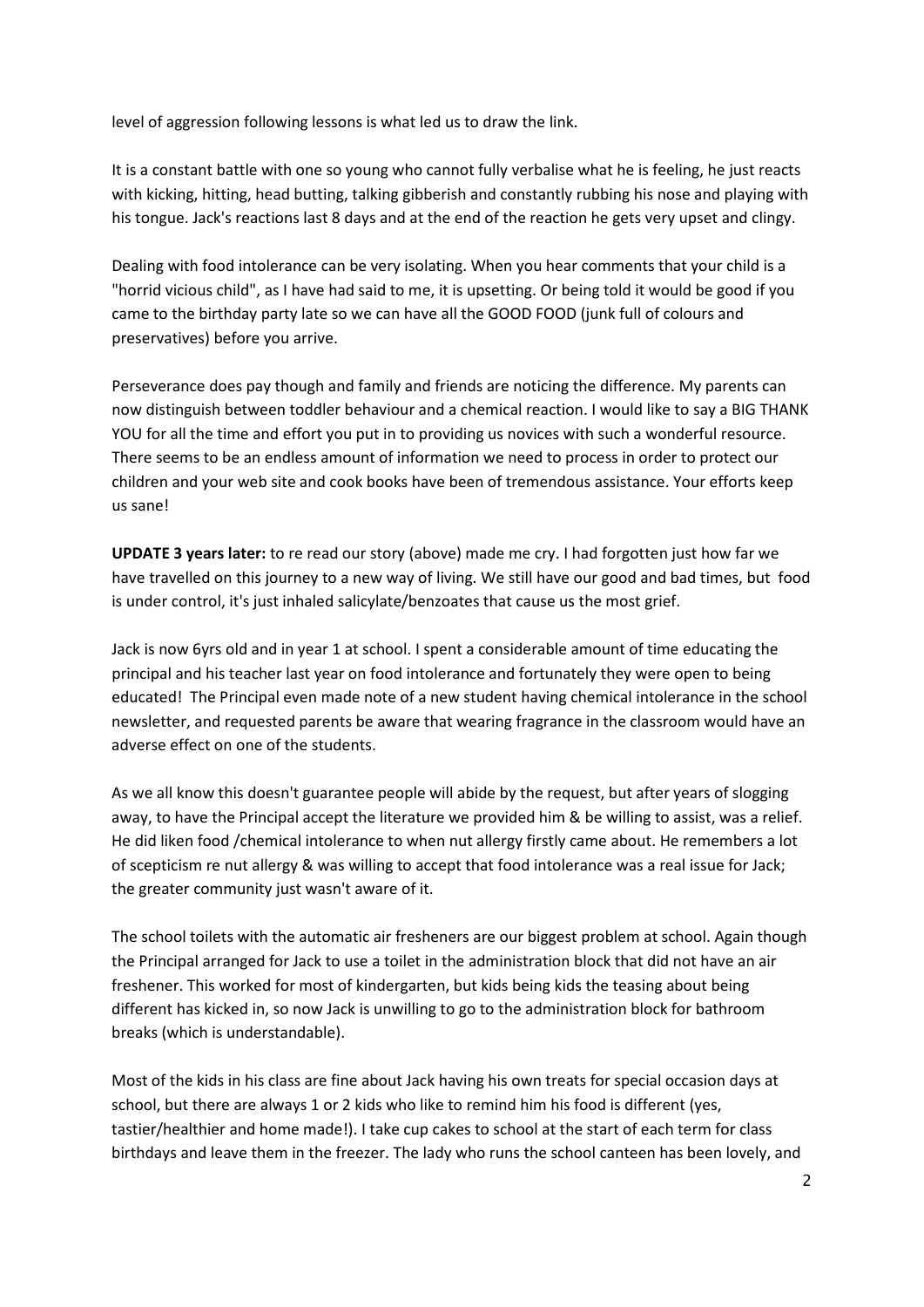level of aggression following lessons is what led us to draw the link.

It is a constant battle with one so young who cannot fully verbalise what he is feeling, he just reacts with kicking, hitting, head butting, talking gibberish and constantly rubbing his nose and playing with his tongue. Jack's reactions last 8 days and at the end of the reaction he gets very upset and clingy.

Dealing with food intolerance can be very isolating. When you hear comments that your child is a "horrid vicious child", as I have had said to me, it is upsetting. Or being told it would be good if you came to the birthday party late so we can have all the GOOD FOOD (junk full of colours and preservatives) before you arrive.

Perseverance does pay though and family and friends are noticing the difference. My parents can now distinguish between toddler behaviour and a chemical reaction. I would like to say a BIG THANK YOU for all the time and effort you put in to providing us novices with such a wonderful resource. There seems to be an endless amount of information we need to process in order to protect our children and your web site and cook books have been of tremendous assistance. Your efforts keep us sane!

**UPDATE 3 years later:** to re read our story (above) made me cry. I had forgotten just how far we have travelled on this journey to a new way of living. We still have our good and bad times, but food is under control, it's just inhaled salicylate/benzoates that cause us the most grief.

Jack is now 6yrs old and in year 1 at school. I spent a considerable amount of time educating the principal and his teacher last year on food intolerance and fortunately they were open to being educated! The Principal even made note of a new student having chemical intolerance in the school newsletter, and requested parents be aware that wearing fragrance in the classroom would have an adverse effect on one of the students.

As we all know this doesn't guarantee people will abide by the request, but after years of slogging away, to have the Principal accept the literature we provided him & be willing to assist, was a relief. He did liken food /chemical intolerance to when nut allergy firstly came about. He remembers a lot of scepticism re nut allergy & was willing to accept that food intolerance was a real issue for Jack; the greater community just wasn't aware of it.

The school toilets with the automatic air fresheners are our biggest problem at school. Again though the Principal arranged for Jack to use a toilet in the administration block that did not have an air freshener. This worked for most of kindergarten, but kids being kids the teasing about being different has kicked in, so now Jack is unwilling to go to the administration block for bathroom breaks (which is understandable).

Most of the kids in his class are fine about Jack having his own treats for special occasion days at school, but there are always 1 or 2 kids who like to remind him his food is different (yes, tastier/healthier and home made!). I take cup cakes to school at the start of each term for class birthdays and leave them in the freezer. The lady who runs the school canteen has been lovely, and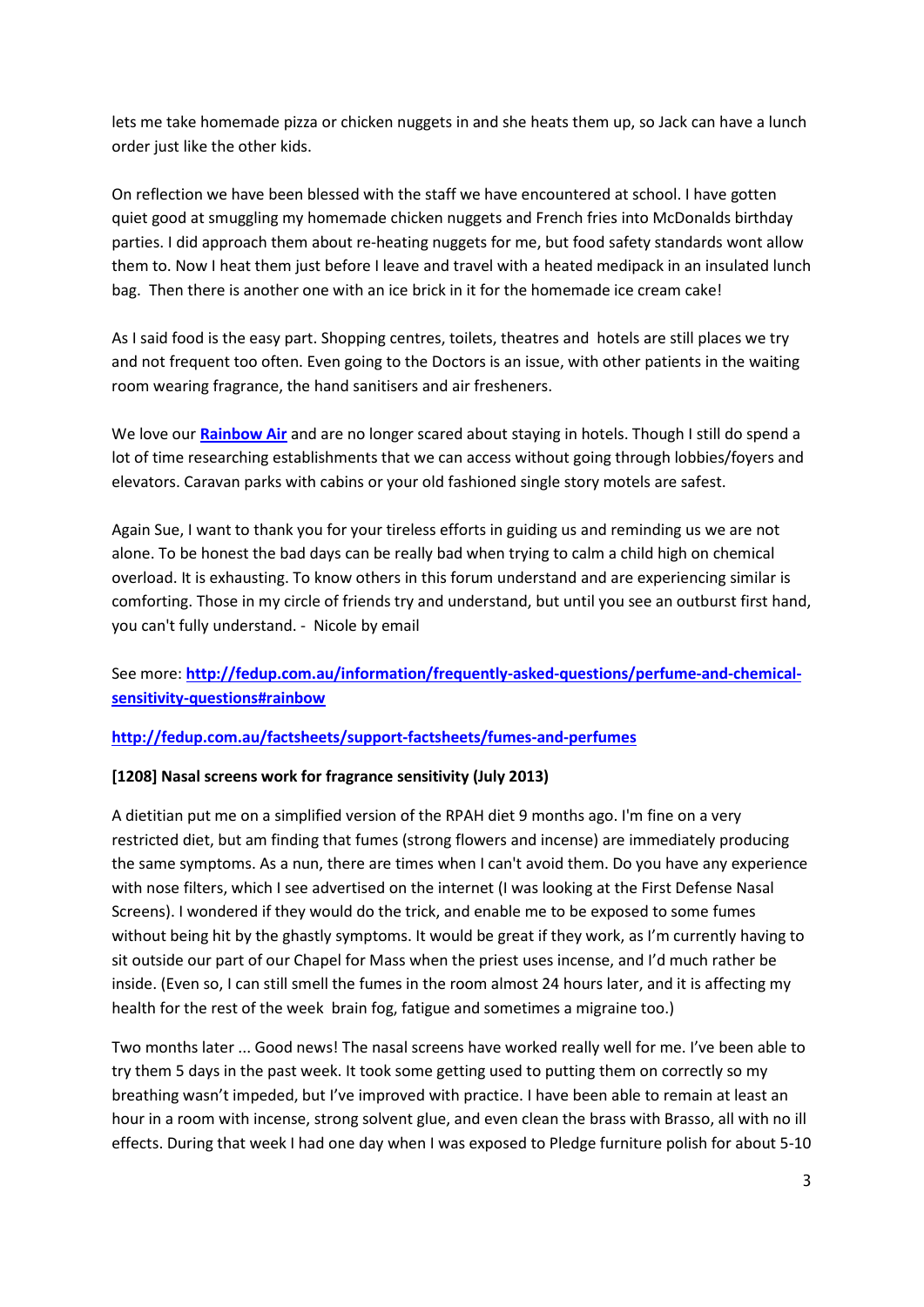lets me take homemade pizza or chicken nuggets in and she heats them up, so Jack can have a lunch order just like the other kids.

On reflection we have been blessed with the staff we have encountered at school. I have gotten quiet good at smuggling my homemade chicken nuggets and French fries into McDonalds birthday parties. I did approach them about re-heating nuggets for me, but food safety standards wont allow them to. Now I heat them just before I leave and travel with a heated medipack in an insulated lunch bag. Then there is another one with an ice brick in it for the homemade ice cream cake!

As I said food is the easy part. Shopping centres, toilets, theatres and hotels are still places we try and not frequent too often. Even going to the Doctors is an issue, with other patients in the waiting room wearing fragrance, the hand sanitisers and air fresheners.

We love our **[Rainbow Air](http://fedup.com.au/information/frequently-asked-questions/perfume-and-chemical-sensitivity-questions#rainbow)** and are no longer scared about staying in hotels. Though I still do spend a lot of time researching establishments that we can access without going through lobbies/foyers and elevators. Caravan parks with cabins or your old fashioned single story motels are safest.

Again Sue, I want to thank you for your tireless efforts in guiding us and reminding us we are not alone. To be honest the bad days can be really bad when trying to calm a child high on chemical overload. It is exhausting. To know others in this forum understand and are experiencing similar is comforting. Those in my circle of friends try and understand, but until you see an outburst first hand, you can't fully understand. - Nicole by email

## See more: **[http://fedup.com.au/information/frequently-asked-questions/perfume-and-chemical](http://fedup.com.au/information/frequently-asked-questions/perfume-and-chemical-sensitivity-questions#rainbow)[sensitivity-questions#rainbow](http://fedup.com.au/information/frequently-asked-questions/perfume-and-chemical-sensitivity-questions#rainbow)**

#### **<http://fedup.com.au/factsheets/support-factsheets/fumes-and-perfumes>**

#### **[1208] Nasal screens work for fragrance sensitivity (July 2013)**

A dietitian put me on a simplified version of the RPAH diet 9 months ago. I'm fine on a very restricted diet, but am finding that fumes (strong flowers and incense) are immediately producing the same symptoms. As a nun, there are times when I can't avoid them. Do you have any experience with nose filters, which I see advertised on the internet (I was looking at the First Defense Nasal Screens). I wondered if they would do the trick, and enable me to be exposed to some fumes without being hit by the ghastly symptoms. It would be great if they work, as I'm currently having to sit outside our part of our Chapel for Mass when the priest uses incense, and I'd much rather be inside. (Even so, I can still smell the fumes in the room almost 24 hours later, and it is affecting my health for the rest of the week brain fog, fatigue and sometimes a migraine too.)

Two months later ... Good news! The nasal screens have worked really well for me. I've been able to try them 5 days in the past week. It took some getting used to putting them on correctly so my breathing wasn't impeded, but I've improved with practice. I have been able to remain at least an hour in a room with incense, strong solvent glue, and even clean the brass with Brasso, all with no ill effects. During that week I had one day when I was exposed to Pledge furniture polish for about 5-10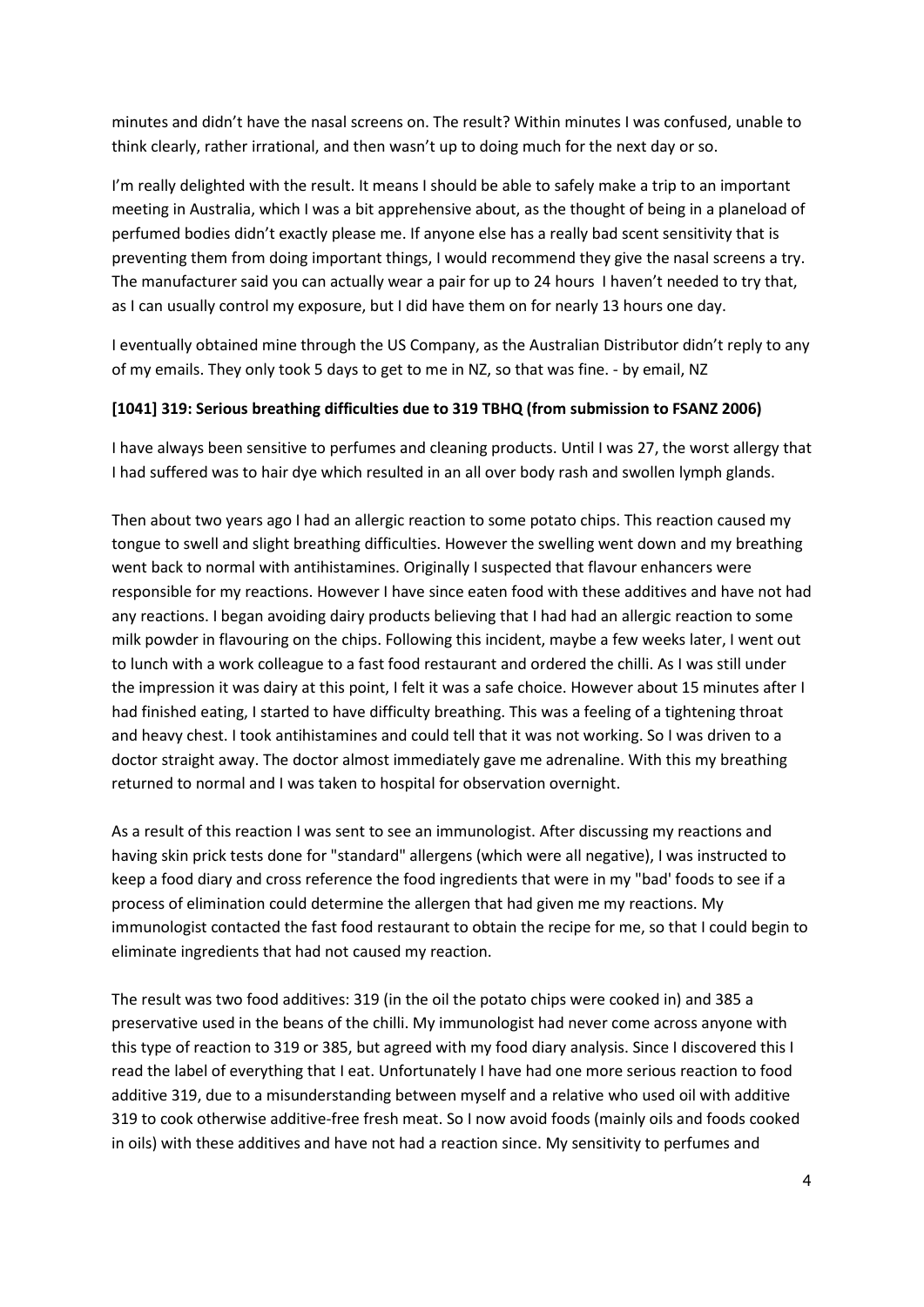minutes and didn't have the nasal screens on. The result? Within minutes I was confused, unable to think clearly, rather irrational, and then wasn't up to doing much for the next day or so.

I'm really delighted with the result. It means I should be able to safely make a trip to an important meeting in Australia, which I was a bit apprehensive about, as the thought of being in a planeload of perfumed bodies didn't exactly please me. If anyone else has a really bad scent sensitivity that is preventing them from doing important things, I would recommend they give the nasal screens a try. The manufacturer said you can actually wear a pair for up to 24 hours I haven't needed to try that, as I can usually control my exposure, but I did have them on for nearly 13 hours one day.

I eventually obtained mine through the US Company, as the Australian Distributor didn't reply to any of my emails. They only took 5 days to get to me in NZ, so that was fine. - by email, NZ

#### **[1041] 319: Serious breathing difficulties due to 319 TBHQ (from submission to FSANZ 2006)**

I have always been sensitive to perfumes and cleaning products. Until I was 27, the worst allergy that I had suffered was to hair dye which resulted in an all over body rash and swollen lymph glands.

Then about two years ago I had an allergic reaction to some potato chips. This reaction caused my tongue to swell and slight breathing difficulties. However the swelling went down and my breathing went back to normal with antihistamines. Originally I suspected that flavour enhancers were responsible for my reactions. However I have since eaten food with these additives and have not had any reactions. I began avoiding dairy products believing that I had had an allergic reaction to some milk powder in flavouring on the chips. Following this incident, maybe a few weeks later, I went out to lunch with a work colleague to a fast food restaurant and ordered the chilli. As I was still under the impression it was dairy at this point, I felt it was a safe choice. However about 15 minutes after I had finished eating, I started to have difficulty breathing. This was a feeling of a tightening throat and heavy chest. I took antihistamines and could tell that it was not working. So I was driven to a doctor straight away. The doctor almost immediately gave me adrenaline. With this my breathing returned to normal and I was taken to hospital for observation overnight.

As a result of this reaction I was sent to see an immunologist. After discussing my reactions and having skin prick tests done for "standard" allergens (which were all negative), I was instructed to keep a food diary and cross reference the food ingredients that were in my "bad' foods to see if a process of elimination could determine the allergen that had given me my reactions. My immunologist contacted the fast food restaurant to obtain the recipe for me, so that I could begin to eliminate ingredients that had not caused my reaction.

The result was two food additives: 319 (in the oil the potato chips were cooked in) and 385 a preservative used in the beans of the chilli. My immunologist had never come across anyone with this type of reaction to 319 or 385, but agreed with my food diary analysis. Since I discovered this I read the label of everything that I eat. Unfortunately I have had one more serious reaction to food additive 319, due to a misunderstanding between myself and a relative who used oil with additive 319 to cook otherwise additive-free fresh meat. So I now avoid foods (mainly oils and foods cooked in oils) with these additives and have not had a reaction since. My sensitivity to perfumes and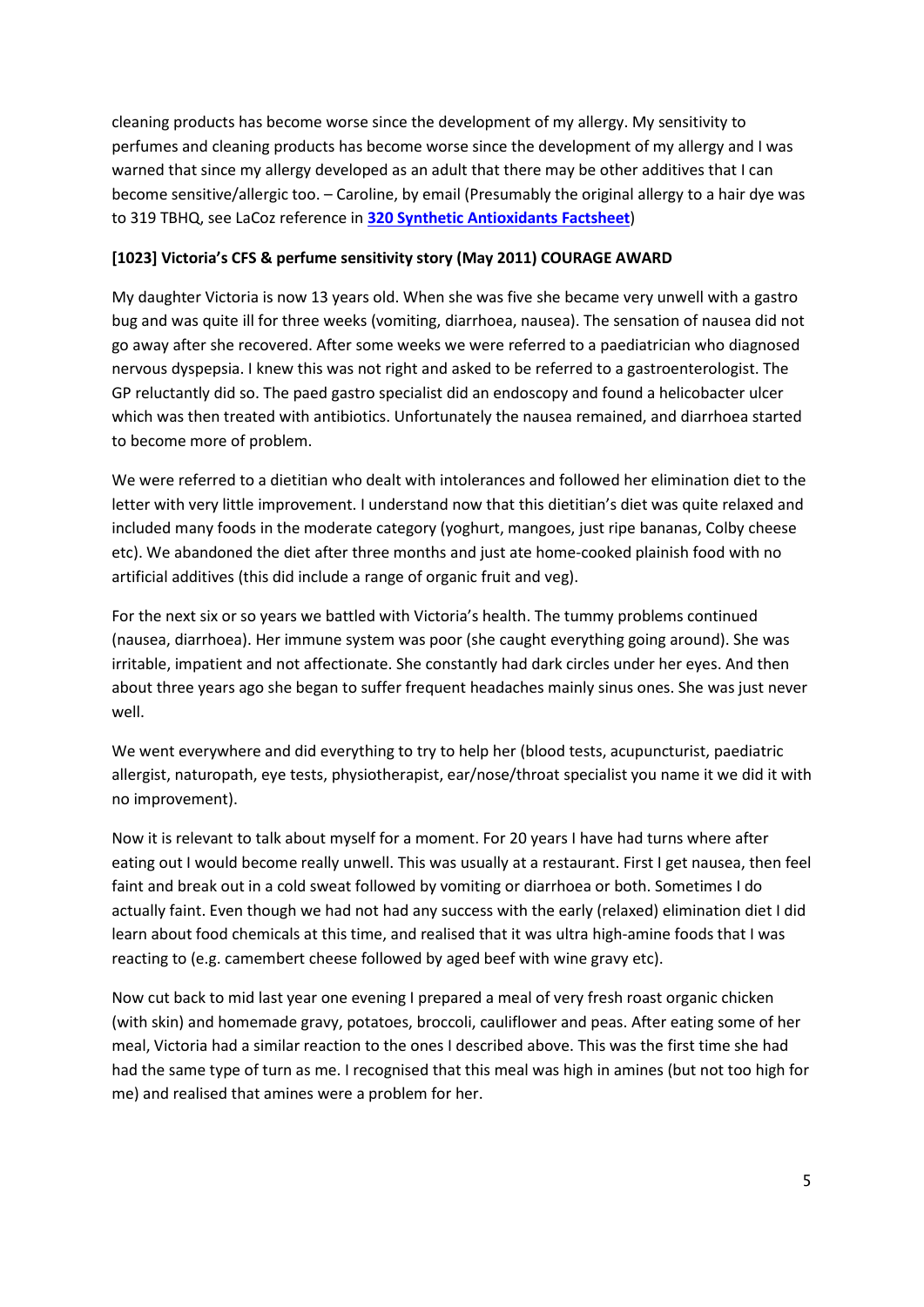cleaning products has become worse since the development of my allergy. My sensitivity to perfumes and cleaning products has become worse since the development of my allergy and I was warned that since my allergy developed as an adult that there may be other additives that I can become sensitive/allergic too. – Caroline, by email (Presumably the original allergy to a hair dye was to 319 TBHQ, see LaCoz reference in **[320 Synthetic Antioxidants Factsheet](http://fedup.com.au/factsheets/additive-and-natural-chemical-factsheets/320-bha-a-other-antioxidants)**)

#### **[1023] Victoria's CFS & perfume sensitivity story (May 2011) COURAGE AWARD**

My daughter Victoria is now 13 years old. When she was five she became very unwell with a gastro bug and was quite ill for three weeks (vomiting, diarrhoea, nausea). The sensation of nausea did not go away after she recovered. After some weeks we were referred to a paediatrician who diagnosed nervous dyspepsia. I knew this was not right and asked to be referred to a gastroenterologist. The GP reluctantly did so. The paed gastro specialist did an endoscopy and found a helicobacter ulcer which was then treated with antibiotics. Unfortunately the nausea remained, and diarrhoea started to become more of problem.

We were referred to a dietitian who dealt with intolerances and followed her elimination diet to the letter with very little improvement. I understand now that this dietitian's diet was quite relaxed and included many foods in the moderate category (yoghurt, mangoes, just ripe bananas, Colby cheese etc). We abandoned the diet after three months and just ate home-cooked plainish food with no artificial additives (this did include a range of organic fruit and veg).

For the next six or so years we battled with Victoria's health. The tummy problems continued (nausea, diarrhoea). Her immune system was poor (she caught everything going around). She was irritable, impatient and not affectionate. She constantly had dark circles under her eyes. And then about three years ago she began to suffer frequent headaches mainly sinus ones. She was just never well.

We went everywhere and did everything to try to help her (blood tests, acupuncturist, paediatric allergist, naturopath, eye tests, physiotherapist, ear/nose/throat specialist you name it we did it with no improvement).

Now it is relevant to talk about myself for a moment. For 20 years I have had turns where after eating out I would become really unwell. This was usually at a restaurant. First I get nausea, then feel faint and break out in a cold sweat followed by vomiting or diarrhoea or both. Sometimes I do actually faint. Even though we had not had any success with the early (relaxed) elimination diet I did learn about food chemicals at this time, and realised that it was ultra high-amine foods that I was reacting to (e.g. camembert cheese followed by aged beef with wine gravy etc).

Now cut back to mid last year one evening I prepared a meal of very fresh roast organic chicken (with skin) and homemade gravy, potatoes, broccoli, cauliflower and peas. After eating some of her meal, Victoria had a similar reaction to the ones I described above. This was the first time she had had the same type of turn as me. I recognised that this meal was high in amines (but not too high for me) and realised that amines were a problem for her.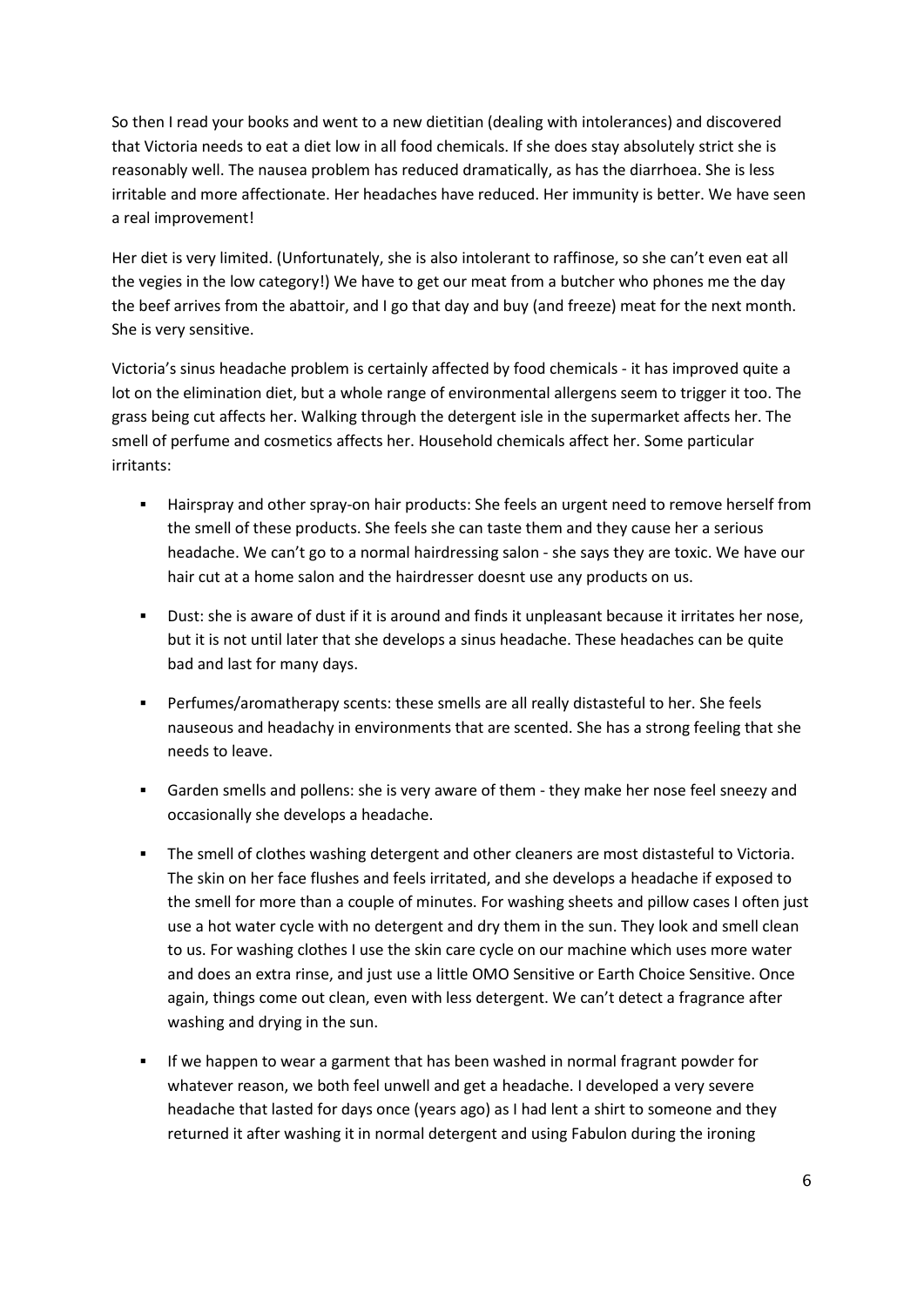So then I read your books and went to a new dietitian (dealing with intolerances) and discovered that Victoria needs to eat a diet low in all food chemicals. If she does stay absolutely strict she is reasonably well. The nausea problem has reduced dramatically, as has the diarrhoea. She is less irritable and more affectionate. Her headaches have reduced. Her immunity is better. We have seen a real improvement!

Her diet is very limited. (Unfortunately, she is also intolerant to raffinose, so she can't even eat all the vegies in the low category!) We have to get our meat from a butcher who phones me the day the beef arrives from the abattoir, and I go that day and buy (and freeze) meat for the next month. She is very sensitive.

Victoria's sinus headache problem is certainly affected by food chemicals - it has improved quite a lot on the elimination diet, but a whole range of environmental allergens seem to trigger it too. The grass being cut affects her. Walking through the detergent isle in the supermarket affects her. The smell of perfume and cosmetics affects her. Household chemicals affect her. Some particular irritants:

- Hairspray and other spray-on hair products: She feels an urgent need to remove herself from the smell of these products. She feels she can taste them and they cause her a serious headache. We can't go to a normal hairdressing salon - she says they are toxic. We have our hair cut at a home salon and the hairdresser doesnt use any products on us.
- Dust: she is aware of dust if it is around and finds it unpleasant because it irritates her nose, but it is not until later that she develops a sinus headache. These headaches can be quite bad and last for many days.
- Perfumes/aromatherapy scents: these smells are all really distasteful to her. She feels nauseous and headachy in environments that are scented. She has a strong feeling that she needs to leave.
- Garden smells and pollens: she is very aware of them they make her nose feel sneezy and occasionally she develops a headache.
- The smell of clothes washing detergent and other cleaners are most distasteful to Victoria. The skin on her face flushes and feels irritated, and she develops a headache if exposed to the smell for more than a couple of minutes. For washing sheets and pillow cases I often just use a hot water cycle with no detergent and dry them in the sun. They look and smell clean to us. For washing clothes I use the skin care cycle on our machine which uses more water and does an extra rinse, and just use a little OMO Sensitive or Earth Choice Sensitive. Once again, things come out clean, even with less detergent. We can't detect a fragrance after washing and drying in the sun.
- If we happen to wear a garment that has been washed in normal fragrant powder for whatever reason, we both feel unwell and get a headache. I developed a very severe headache that lasted for days once (years ago) as I had lent a shirt to someone and they returned it after washing it in normal detergent and using Fabulon during the ironing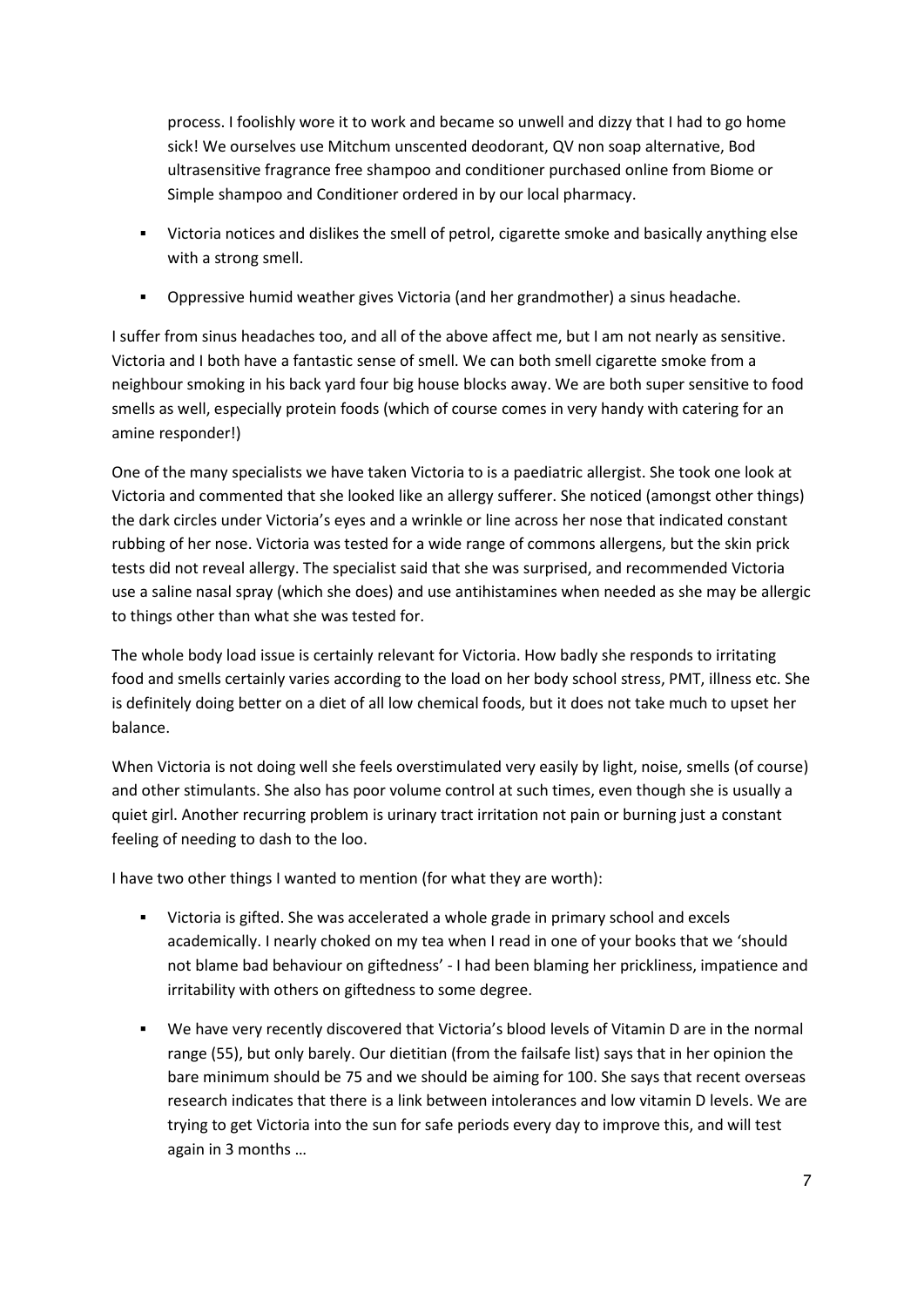process. I foolishly wore it to work and became so unwell and dizzy that I had to go home sick! We ourselves use Mitchum unscented deodorant, QV non soap alternative, Bod ultrasensitive fragrance free shampoo and conditioner purchased online from Biome or Simple shampoo and Conditioner ordered in by our local pharmacy.

- Victoria notices and dislikes the smell of petrol, cigarette smoke and basically anything else with a strong smell.
- Oppressive humid weather gives Victoria (and her grandmother) a sinus headache.

I suffer from sinus headaches too, and all of the above affect me, but I am not nearly as sensitive. Victoria and I both have a fantastic sense of smell. We can both smell cigarette smoke from a neighbour smoking in his back yard four big house blocks away. We are both super sensitive to food smells as well, especially protein foods (which of course comes in very handy with catering for an amine responder!)

One of the many specialists we have taken Victoria to is a paediatric allergist. She took one look at Victoria and commented that she looked like an allergy sufferer. She noticed (amongst other things) the dark circles under Victoria's eyes and a wrinkle or line across her nose that indicated constant rubbing of her nose. Victoria was tested for a wide range of commons allergens, but the skin prick tests did not reveal allergy. The specialist said that she was surprised, and recommended Victoria use a saline nasal spray (which she does) and use antihistamines when needed as she may be allergic to things other than what she was tested for.

The whole body load issue is certainly relevant for Victoria. How badly she responds to irritating food and smells certainly varies according to the load on her body school stress, PMT, illness etc. She is definitely doing better on a diet of all low chemical foods, but it does not take much to upset her balance.

When Victoria is not doing well she feels overstimulated very easily by light, noise, smells (of course) and other stimulants. She also has poor volume control at such times, even though she is usually a quiet girl. Another recurring problem is urinary tract irritation not pain or burning just a constant feeling of needing to dash to the loo.

I have two other things I wanted to mention (for what they are worth):

- Victoria is gifted. She was accelerated a whole grade in primary school and excels academically. I nearly choked on my tea when I read in one of your books that we 'should not blame bad behaviour on giftedness' - I had been blaming her prickliness, impatience and irritability with others on giftedness to some degree.
- We have very recently discovered that Victoria's blood levels of Vitamin D are in the normal range (55), but only barely. Our dietitian (from the failsafe list) says that in her opinion the bare minimum should be 75 and we should be aiming for 100. She says that recent overseas research indicates that there is a link between intolerances and low vitamin D levels. We are trying to get Victoria into the sun for safe periods every day to improve this, and will test again in 3 months …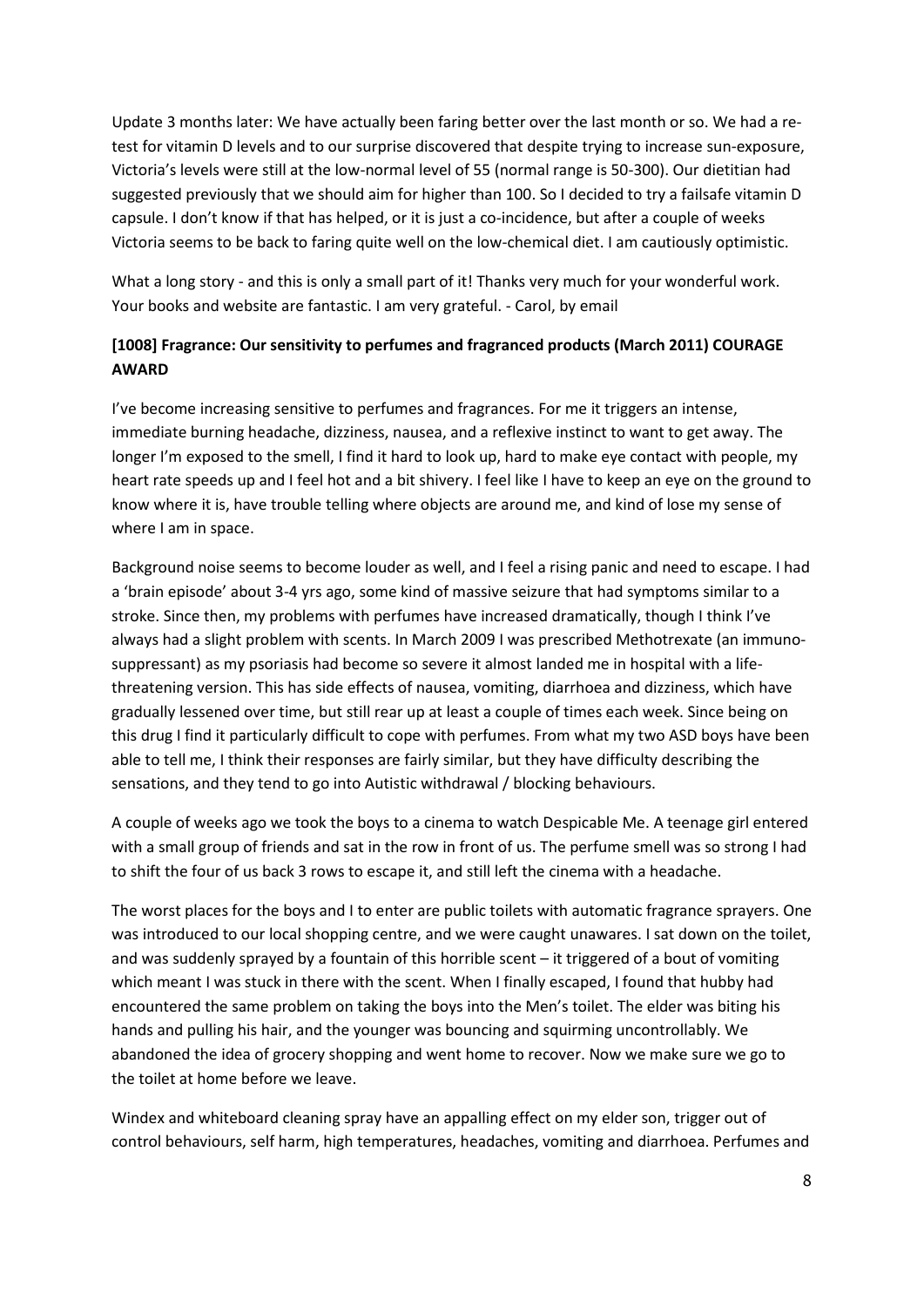Update 3 months later: We have actually been faring better over the last month or so. We had a retest for vitamin D levels and to our surprise discovered that despite trying to increase sun-exposure, Victoria's levels were still at the low-normal level of 55 (normal range is 50-300). Our dietitian had suggested previously that we should aim for higher than 100. So I decided to try a failsafe vitamin D capsule. I don't know if that has helped, or it is just a co-incidence, but after a couple of weeks Victoria seems to be back to faring quite well on the low-chemical diet. I am cautiously optimistic.

What a long story - and this is only a small part of it! Thanks very much for your wonderful work. Your books and website are fantastic. I am very grateful. - Carol, by email

# **[1008] Fragrance: Our sensitivity to perfumes and fragranced products (March 2011) COURAGE AWARD**

I've become increasing sensitive to perfumes and fragrances. For me it triggers an intense, immediate burning headache, dizziness, nausea, and a reflexive instinct to want to get away. The longer I'm exposed to the smell, I find it hard to look up, hard to make eye contact with people, my heart rate speeds up and I feel hot and a bit shivery. I feel like I have to keep an eye on the ground to know where it is, have trouble telling where objects are around me, and kind of lose my sense of where I am in space.

Background noise seems to become louder as well, and I feel a rising panic and need to escape. I had a 'brain episode' about 3-4 yrs ago, some kind of massive seizure that had symptoms similar to a stroke. Since then, my problems with perfumes have increased dramatically, though I think I've always had a slight problem with scents. In March 2009 I was prescribed Methotrexate (an immunosuppressant) as my psoriasis had become so severe it almost landed me in hospital with a lifethreatening version. This has side effects of nausea, vomiting, diarrhoea and dizziness, which have gradually lessened over time, but still rear up at least a couple of times each week. Since being on this drug I find it particularly difficult to cope with perfumes. From what my two ASD boys have been able to tell me, I think their responses are fairly similar, but they have difficulty describing the sensations, and they tend to go into Autistic withdrawal / blocking behaviours.

A couple of weeks ago we took the boys to a cinema to watch Despicable Me. A teenage girl entered with a small group of friends and sat in the row in front of us. The perfume smell was so strong I had to shift the four of us back 3 rows to escape it, and still left the cinema with a headache.

The worst places for the boys and I to enter are public toilets with automatic fragrance sprayers. One was introduced to our local shopping centre, and we were caught unawares. I sat down on the toilet, and was suddenly sprayed by a fountain of this horrible scent – it triggered of a bout of vomiting which meant I was stuck in there with the scent. When I finally escaped, I found that hubby had encountered the same problem on taking the boys into the Men's toilet. The elder was biting his hands and pulling his hair, and the younger was bouncing and squirming uncontrollably. We abandoned the idea of grocery shopping and went home to recover. Now we make sure we go to the toilet at home before we leave.

Windex and whiteboard cleaning spray have an appalling effect on my elder son, trigger out of control behaviours, self harm, high temperatures, headaches, vomiting and diarrhoea. Perfumes and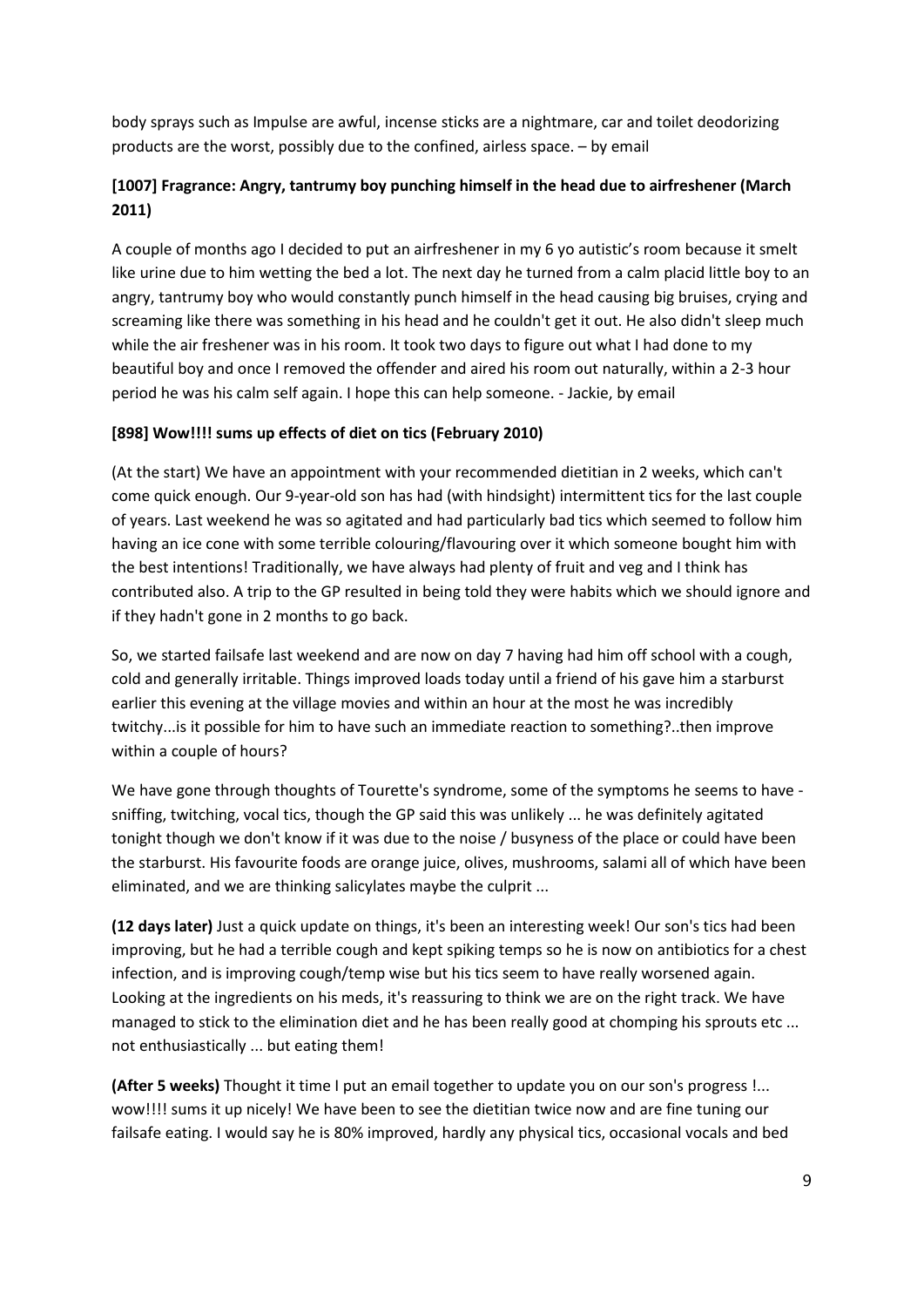body sprays such as Impulse are awful, incense sticks are a nightmare, car and toilet deodorizing products are the worst, possibly due to the confined, airless space. – by email

# **[1007] Fragrance: Angry, tantrumy boy punching himself in the head due to airfreshener (March 2011)**

A couple of months ago I decided to put an airfreshener in my 6 yo autistic's room because it smelt like urine due to him wetting the bed a lot. The next day he turned from a calm placid little boy to an angry, tantrumy boy who would constantly punch himself in the head causing big bruises, crying and screaming like there was something in his head and he couldn't get it out. He also didn't sleep much while the air freshener was in his room. It took two days to figure out what I had done to my beautiful boy and once I removed the offender and aired his room out naturally, within a 2-3 hour period he was his calm self again. I hope this can help someone. - Jackie, by email

#### **[898] Wow!!!! sums up effects of diet on tics (February 2010)**

(At the start) We have an appointment with your recommended dietitian in 2 weeks, which can't come quick enough. Our 9-year-old son has had (with hindsight) intermittent tics for the last couple of years. Last weekend he was so agitated and had particularly bad tics which seemed to follow him having an ice cone with some terrible colouring/flavouring over it which someone bought him with the best intentions! Traditionally, we have always had plenty of fruit and veg and I think has contributed also. A trip to the GP resulted in being told they were habits which we should ignore and if they hadn't gone in 2 months to go back.

So, we started failsafe last weekend and are now on day 7 having had him off school with a cough, cold and generally irritable. Things improved loads today until a friend of his gave him a starburst earlier this evening at the village movies and within an hour at the most he was incredibly twitchy...is it possible for him to have such an immediate reaction to something?..then improve within a couple of hours?

We have gone through thoughts of Tourette's syndrome, some of the symptoms he seems to have sniffing, twitching, vocal tics, though the GP said this was unlikely ... he was definitely agitated tonight though we don't know if it was due to the noise / busyness of the place or could have been the starburst. His favourite foods are orange juice, olives, mushrooms, salami all of which have been eliminated, and we are thinking salicylates maybe the culprit ...

**(12 days later)** Just a quick update on things, it's been an interesting week! Our son's tics had been improving, but he had a terrible cough and kept spiking temps so he is now on antibiotics for a chest infection, and is improving cough/temp wise but his tics seem to have really worsened again. Looking at the ingredients on his meds, it's reassuring to think we are on the right track. We have managed to stick to the elimination diet and he has been really good at chomping his sprouts etc ... not enthusiastically ... but eating them!

**(After 5 weeks)** Thought it time I put an email together to update you on our son's progress !... wow!!!! sums it up nicely! We have been to see the dietitian twice now and are fine tuning our failsafe eating. I would say he is 80% improved, hardly any physical tics, occasional vocals and bed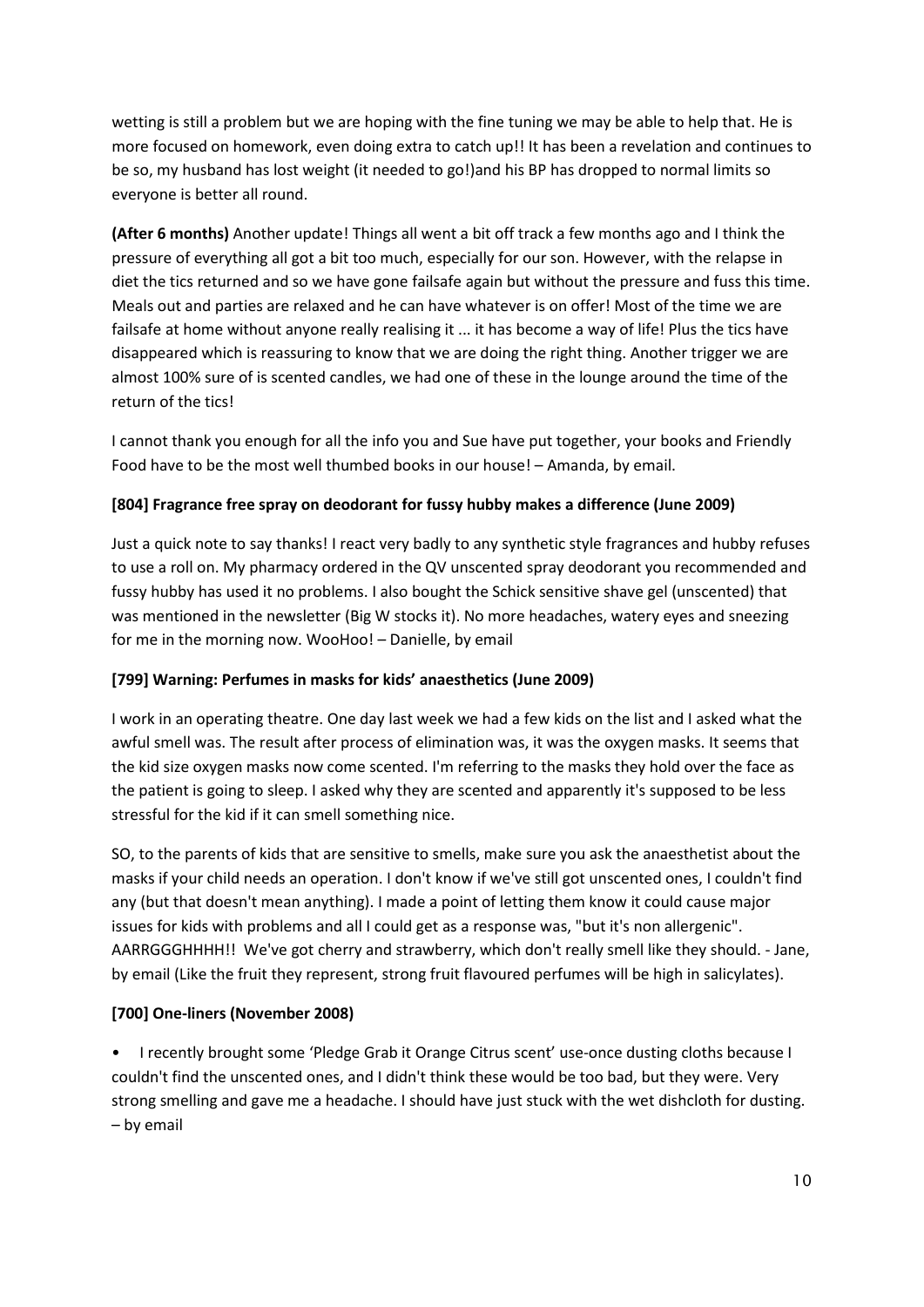wetting is still a problem but we are hoping with the fine tuning we may be able to help that. He is more focused on homework, even doing extra to catch up!! It has been a revelation and continues to be so, my husband has lost weight (it needed to go!)and his BP has dropped to normal limits so everyone is better all round.

**(After 6 months)** Another update! Things all went a bit off track a few months ago and I think the pressure of everything all got a bit too much, especially for our son. However, with the relapse in diet the tics returned and so we have gone failsafe again but without the pressure and fuss this time. Meals out and parties are relaxed and he can have whatever is on offer! Most of the time we are failsafe at home without anyone really realising it ... it has become a way of life! Plus the tics have disappeared which is reassuring to know that we are doing the right thing. Another trigger we are almost 100% sure of is scented candles, we had one of these in the lounge around the time of the return of the tics!

I cannot thank you enough for all the info you and Sue have put together, your books and Friendly Food have to be the most well thumbed books in our house! – Amanda, by email.

#### **[804] Fragrance free spray on deodorant for fussy hubby makes a difference (June 2009)**

Just a quick note to say thanks! I react very badly to any synthetic style fragrances and hubby refuses to use a roll on. My pharmacy ordered in the QV unscented spray deodorant you recommended and fussy hubby has used it no problems. I also bought the Schick sensitive shave gel (unscented) that was mentioned in the newsletter (Big W stocks it). No more headaches, watery eyes and sneezing for me in the morning now. WooHoo! – Danielle, by email

#### **[799] Warning: Perfumes in masks for kids' anaesthetics (June 2009)**

I work in an operating theatre. One day last week we had a few kids on the list and I asked what the awful smell was. The result after process of elimination was, it was the oxygen masks. It seems that the kid size oxygen masks now come scented. I'm referring to the masks they hold over the face as the patient is going to sleep. I asked why they are scented and apparently it's supposed to be less stressful for the kid if it can smell something nice.

SO, to the parents of kids that are sensitive to smells, make sure you ask the anaesthetist about the masks if your child needs an operation. I don't know if we've still got unscented ones, I couldn't find any (but that doesn't mean anything). I made a point of letting them know it could cause major issues for kids with problems and all I could get as a response was, "but it's non allergenic". AARRGGGHHHH!! We've got cherry and strawberry, which don't really smell like they should. - Jane, by email (Like the fruit they represent, strong fruit flavoured perfumes will be high in salicylates).

## **[700] One-liners (November 2008)**

• I recently brought some 'Pledge Grab it Orange Citrus scent' use-once dusting cloths because I couldn't find the unscented ones, and I didn't think these would be too bad, but they were. Very strong smelling and gave me a headache. I should have just stuck with the wet dishcloth for dusting. – by email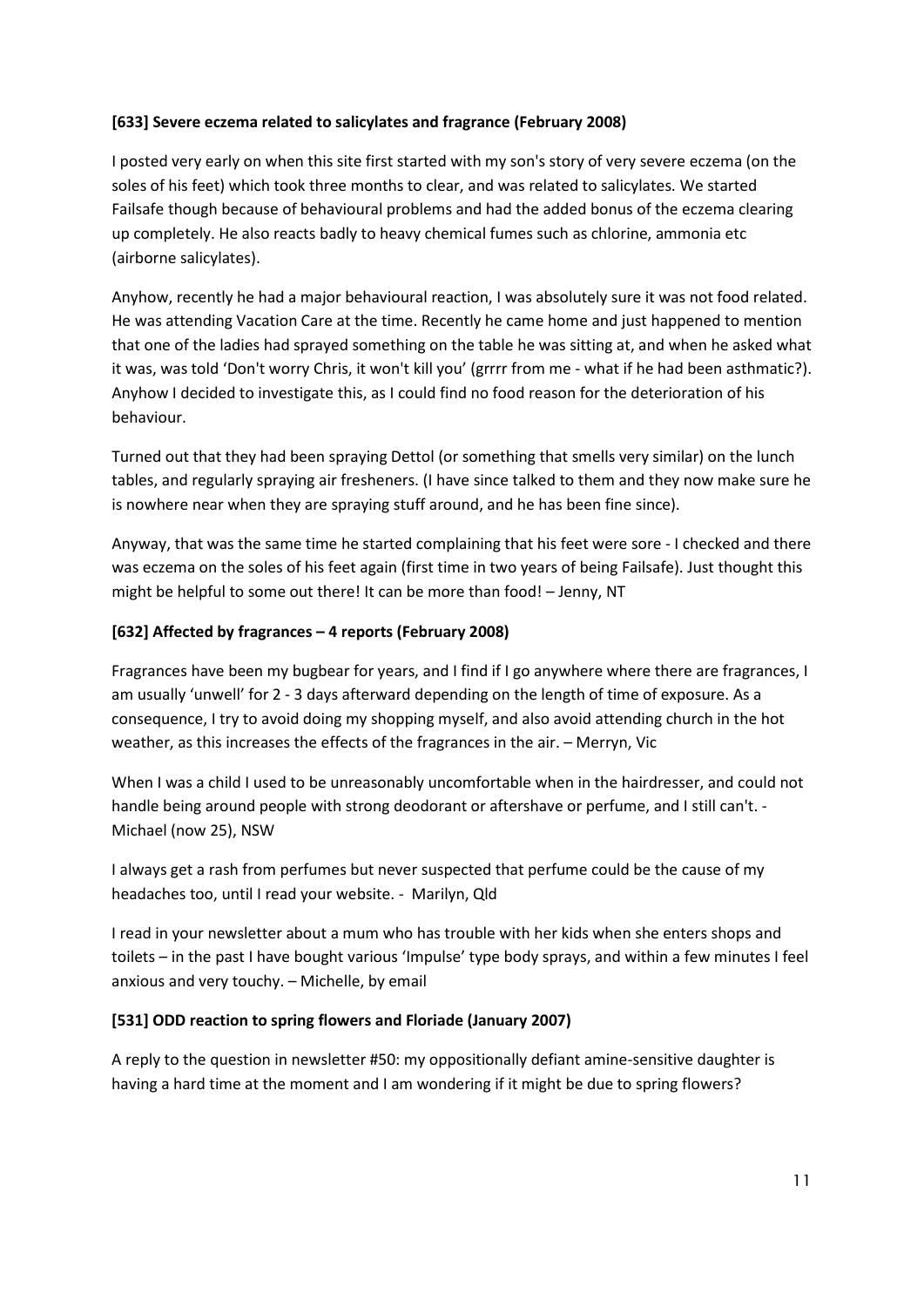#### **[633] Severe eczema related to salicylates and fragrance (February 2008)**

I posted very early on when this site first started with my son's story of very severe eczema (on the soles of his feet) which took three months to clear, and was related to salicylates. We started Failsafe though because of behavioural problems and had the added bonus of the eczema clearing up completely. He also reacts badly to heavy chemical fumes such as chlorine, ammonia etc (airborne salicylates).

Anyhow, recently he had a major behavioural reaction, I was absolutely sure it was not food related. He was attending Vacation Care at the time. Recently he came home and just happened to mention that one of the ladies had sprayed something on the table he was sitting at, and when he asked what it was, was told 'Don't worry Chris, it won't kill you' (grrrr from me - what if he had been asthmatic?). Anyhow I decided to investigate this, as I could find no food reason for the deterioration of his behaviour.

Turned out that they had been spraying Dettol (or something that smells very similar) on the lunch tables, and regularly spraying air fresheners. (I have since talked to them and they now make sure he is nowhere near when they are spraying stuff around, and he has been fine since).

Anyway, that was the same time he started complaining that his feet were sore - I checked and there was eczema on the soles of his feet again (first time in two years of being Failsafe). Just thought this might be helpful to some out there! It can be more than food! – Jenny, NT

#### **[632] Affected by fragrances – 4 reports (February 2008)**

Fragrances have been my bugbear for years, and I find if I go anywhere where there are fragrances, I am usually 'unwell' for 2 - 3 days afterward depending on the length of time of exposure. As a consequence, I try to avoid doing my shopping myself, and also avoid attending church in the hot weather, as this increases the effects of the fragrances in the air. – Merryn, Vic

When I was a child I used to be unreasonably uncomfortable when in the hairdresser, and could not handle being around people with strong deodorant or aftershave or perfume, and I still can't. - Michael (now 25), NSW

I always get a rash from perfumes but never suspected that perfume could be the cause of my headaches too, until I read your website. - Marilyn, Qld

I read in your newsletter about a mum who has trouble with her kids when she enters shops and toilets – in the past I have bought various 'Impulse' type body sprays, and within a few minutes I feel anxious and very touchy. – Michelle, by email

#### **[531] ODD reaction to spring flowers and Floriade (January 2007)**

A reply to the question in newsletter #50: my oppositionally defiant amine-sensitive daughter is having a hard time at the moment and I am wondering if it might be due to spring flowers?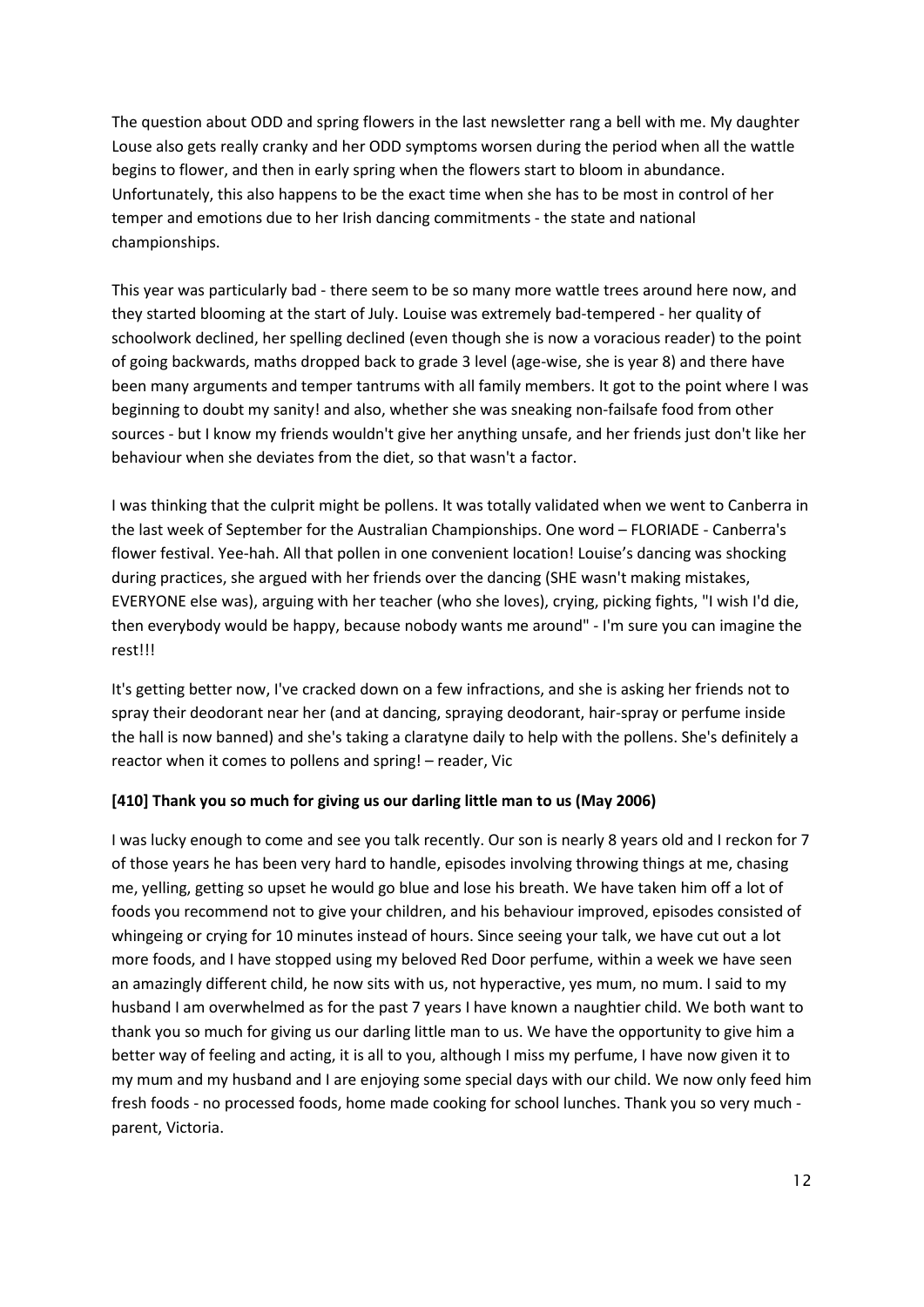The question about ODD and spring flowers in the last newsletter rang a bell with me. My daughter Louse also gets really cranky and her ODD symptoms worsen during the period when all the wattle begins to flower, and then in early spring when the flowers start to bloom in abundance. Unfortunately, this also happens to be the exact time when she has to be most in control of her temper and emotions due to her Irish dancing commitments - the state and national championships.

This year was particularly bad - there seem to be so many more wattle trees around here now, and they started blooming at the start of July. Louise was extremely bad-tempered - her quality of schoolwork declined, her spelling declined (even though she is now a voracious reader) to the point of going backwards, maths dropped back to grade 3 level (age-wise, she is year 8) and there have been many arguments and temper tantrums with all family members. It got to the point where I was beginning to doubt my sanity! and also, whether she was sneaking non-failsafe food from other sources - but I know my friends wouldn't give her anything unsafe, and her friends just don't like her behaviour when she deviates from the diet, so that wasn't a factor.

I was thinking that the culprit might be pollens. It was totally validated when we went to Canberra in the last week of September for the Australian Championships. One word – FLORIADE - Canberra's flower festival. Yee-hah. All that pollen in one convenient location! Louise's dancing was shocking during practices, she argued with her friends over the dancing (SHE wasn't making mistakes, EVERYONE else was), arguing with her teacher (who she loves), crying, picking fights, "I wish I'd die, then everybody would be happy, because nobody wants me around" - I'm sure you can imagine the rest!!!

It's getting better now, I've cracked down on a few infractions, and she is asking her friends not to spray their deodorant near her (and at dancing, spraying deodorant, hair-spray or perfume inside the hall is now banned) and she's taking a claratyne daily to help with the pollens. She's definitely a reactor when it comes to pollens and spring! – reader, Vic

#### **[410] Thank you so much for giving us our darling little man to us (May 2006)**

I was lucky enough to come and see you talk recently. Our son is nearly 8 years old and I reckon for 7 of those years he has been very hard to handle, episodes involving throwing things at me, chasing me, yelling, getting so upset he would go blue and lose his breath. We have taken him off a lot of foods you recommend not to give your children, and his behaviour improved, episodes consisted of whingeing or crying for 10 minutes instead of hours. Since seeing your talk, we have cut out a lot more foods, and I have stopped using my beloved Red Door perfume, within a week we have seen an amazingly different child, he now sits with us, not hyperactive, yes mum, no mum. I said to my husband I am overwhelmed as for the past 7 years I have known a naughtier child. We both want to thank you so much for giving us our darling little man to us. We have the opportunity to give him a better way of feeling and acting, it is all to you, although I miss my perfume, I have now given it to my mum and my husband and I are enjoying some special days with our child. We now only feed him fresh foods - no processed foods, home made cooking for school lunches. Thank you so very much parent, Victoria.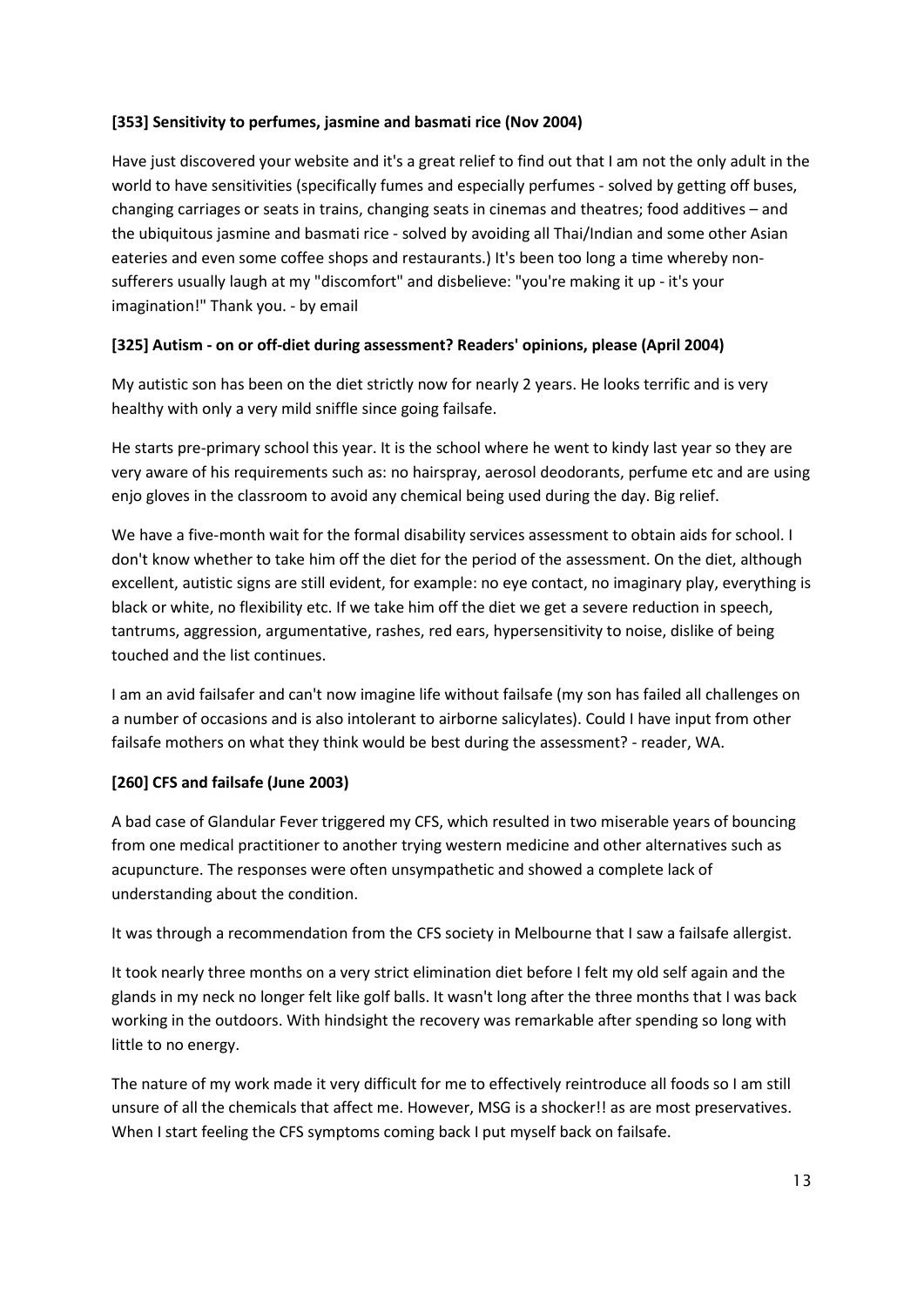#### **[353] Sensitivity to perfumes, jasmine and basmati rice (Nov 2004)**

Have just discovered your website and it's a great relief to find out that I am not the only adult in the world to have sensitivities (specifically fumes and especially perfumes - solved by getting off buses, changing carriages or seats in trains, changing seats in cinemas and theatres; food additives – and the ubiquitous jasmine and basmati rice - solved by avoiding all Thai/Indian and some other Asian eateries and even some coffee shops and restaurants.) It's been too long a time whereby nonsufferers usually laugh at my "discomfort" and disbelieve: "you're making it up - it's your imagination!" Thank you. - by email

#### **[325] Autism - on or off-diet during assessment? Readers' opinions, please (April 2004)**

My autistic son has been on the diet strictly now for nearly 2 years. He looks terrific and is very healthy with only a very mild sniffle since going failsafe.

He starts pre-primary school this year. It is the school where he went to kindy last year so they are very aware of his requirements such as: no hairspray, aerosol deodorants, perfume etc and are using enjo gloves in the classroom to avoid any chemical being used during the day. Big relief.

We have a five-month wait for the formal disability services assessment to obtain aids for school. I don't know whether to take him off the diet for the period of the assessment. On the diet, although excellent, autistic signs are still evident, for example: no eye contact, no imaginary play, everything is black or white, no flexibility etc. If we take him off the diet we get a severe reduction in speech, tantrums, aggression, argumentative, rashes, red ears, hypersensitivity to noise, dislike of being touched and the list continues.

I am an avid failsafer and can't now imagine life without failsafe (my son has failed all challenges on a number of occasions and is also intolerant to airborne salicylates). Could I have input from other failsafe mothers on what they think would be best during the assessment? - reader, WA.

## **[260] CFS and failsafe (June 2003)**

A bad case of Glandular Fever triggered my CFS, which resulted in two miserable years of bouncing from one medical practitioner to another trying western medicine and other alternatives such as acupuncture. The responses were often unsympathetic and showed a complete lack of understanding about the condition.

It was through a recommendation from the CFS society in Melbourne that I saw a failsafe allergist.

It took nearly three months on a very strict elimination diet before I felt my old self again and the glands in my neck no longer felt like golf balls. It wasn't long after the three months that I was back working in the outdoors. With hindsight the recovery was remarkable after spending so long with little to no energy.

The nature of my work made it very difficult for me to effectively reintroduce all foods so I am still unsure of all the chemicals that affect me. However, MSG is a shocker!! as are most preservatives. When I start feeling the CFS symptoms coming back I put myself back on failsafe.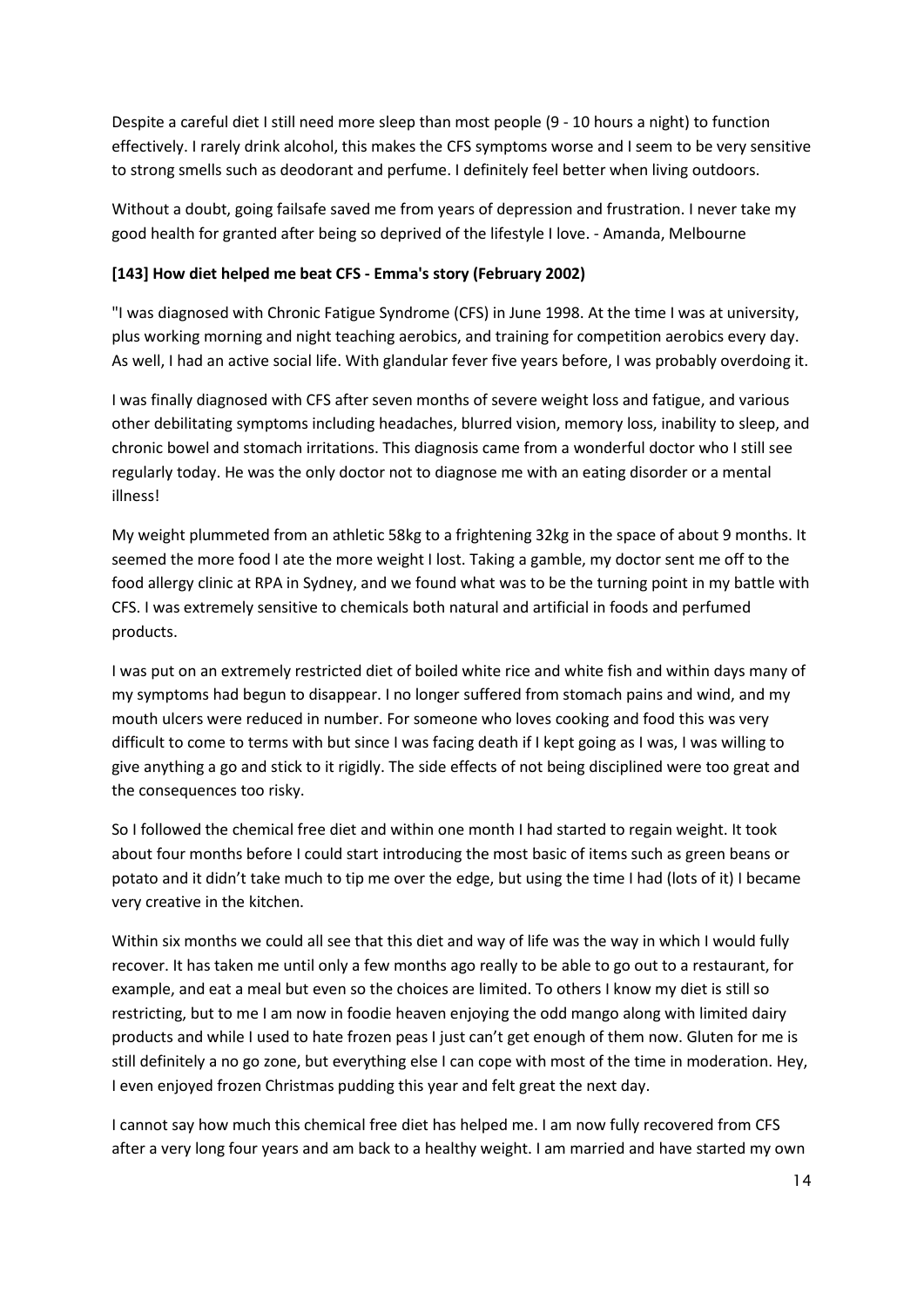Despite a careful diet I still need more sleep than most people (9 - 10 hours a night) to function effectively. I rarely drink alcohol, this makes the CFS symptoms worse and I seem to be very sensitive to strong smells such as deodorant and perfume. I definitely feel better when living outdoors.

Without a doubt, going failsafe saved me from years of depression and frustration. I never take my good health for granted after being so deprived of the lifestyle I love. - Amanda, Melbourne

#### **[143] How diet helped me beat CFS - Emma's story (February 2002)**

"I was diagnosed with Chronic Fatigue Syndrome (CFS) in June 1998. At the time I was at university, plus working morning and night teaching aerobics, and training for competition aerobics every day. As well, I had an active social life. With glandular fever five years before, I was probably overdoing it.

I was finally diagnosed with CFS after seven months of severe weight loss and fatigue, and various other debilitating symptoms including headaches, blurred vision, memory loss, inability to sleep, and chronic bowel and stomach irritations. This diagnosis came from a wonderful doctor who I still see regularly today. He was the only doctor not to diagnose me with an eating disorder or a mental illness!

My weight plummeted from an athletic 58kg to a frightening 32kg in the space of about 9 months. It seemed the more food I ate the more weight I lost. Taking a gamble, my doctor sent me off to the food allergy clinic at RPA in Sydney, and we found what was to be the turning point in my battle with CFS. I was extremely sensitive to chemicals both natural and artificial in foods and perfumed products.

I was put on an extremely restricted diet of boiled white rice and white fish and within days many of my symptoms had begun to disappear. I no longer suffered from stomach pains and wind, and my mouth ulcers were reduced in number. For someone who loves cooking and food this was very difficult to come to terms with but since I was facing death if I kept going as I was, I was willing to give anything a go and stick to it rigidly. The side effects of not being disciplined were too great and the consequences too risky.

So I followed the chemical free diet and within one month I had started to regain weight. It took about four months before I could start introducing the most basic of items such as green beans or potato and it didn't take much to tip me over the edge, but using the time I had (lots of it) I became very creative in the kitchen.

Within six months we could all see that this diet and way of life was the way in which I would fully recover. It has taken me until only a few months ago really to be able to go out to a restaurant, for example, and eat a meal but even so the choices are limited. To others I know my diet is still so restricting, but to me I am now in foodie heaven enjoying the odd mango along with limited dairy products and while I used to hate frozen peas I just can't get enough of them now. Gluten for me is still definitely a no go zone, but everything else I can cope with most of the time in moderation. Hey, I even enjoyed frozen Christmas pudding this year and felt great the next day.

I cannot say how much this chemical free diet has helped me. I am now fully recovered from CFS after a very long four years and am back to a healthy weight. I am married and have started my own